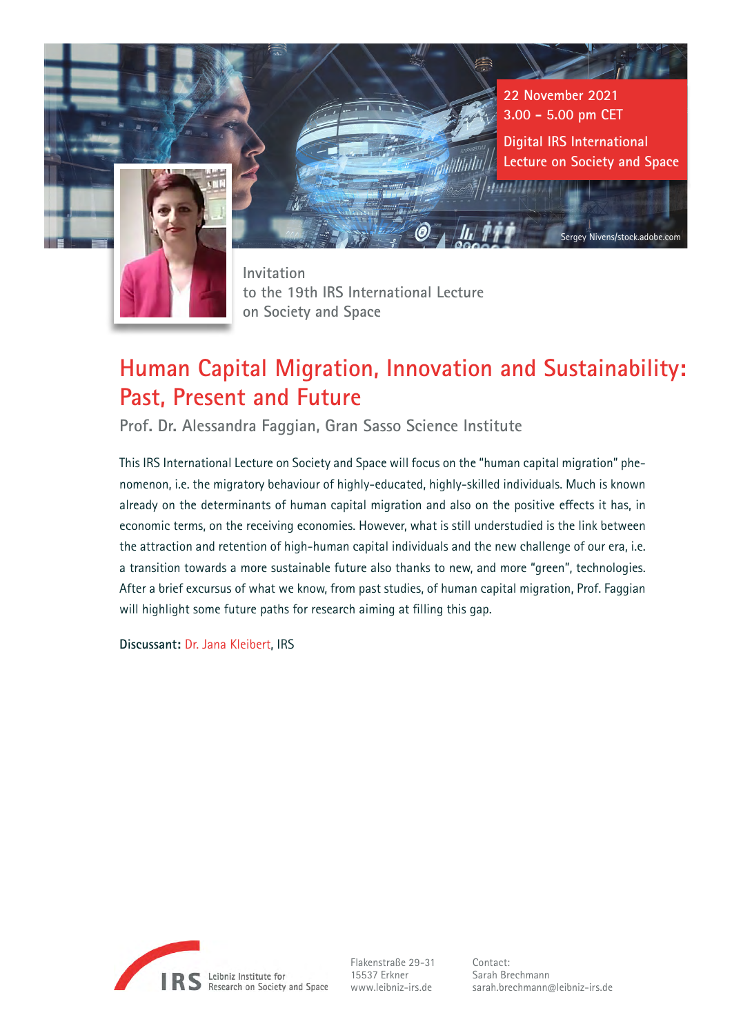

**22 November 2021 3.00 - 5.00 pm CET**

**Digital IRS International Lecture on Society and Space**

Sergey Nivens/stock.adobe.com

**Invitation to the 19th IRS International Lecture on Society and Space**

# **Human Capital Migration, Innovation and Sustainability: Past, Present and Future**

*Mullitulli* 

**Prof. Dr. Alessandra Faggian, Gran Sasso Science Institute**

This IRS International Lecture on Society and Space will focus on the "human capital migration" phenomenon, i.e. the migratory behaviour of highly-educated, highly-skilled individuals. Much is known already on the determinants of human capital migration and also on the positive effects it has, in economic terms, on the receiving economies. However, what is still understudied is the link between the attraction and retention of high-human capital individuals and the new challenge of our era, i.e. a transition towards a more sustainable future also thanks to new, and more "green", technologies. After a brief excursus of what we know, from past studies, of human capital migration, Prof. Faggian will highlight some future paths for research aiming at filling this gap.

**Discussant:** [Dr. Jana Kleibert](https://leibniz-irs.de/en/people-careers/staff/person/jana-maria-kleibert-0419), IRS



Flakenstraße 29-31 15537 Erkner www.leibniz-irs.de

Contact: Sarah Brechmann sarah.brechmann@leibniz-irs.de